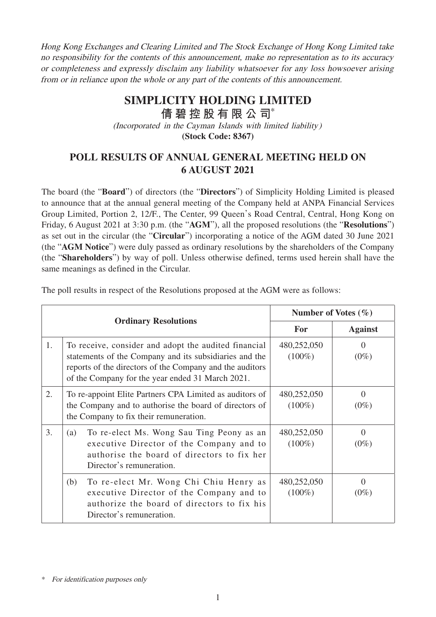Hong Kong Exchanges and Clearing Limited and The Stock Exchange of Hong Kong Limited take no responsibility for the contents of this announcement, make no representation as to its accuracy or completeness and expressly disclaim any liability whatsoever for any loss howsoever arising from or in reliance upon the whole or any part of the contents of this announcement.

## **SIMPLICITY HOLDING LIMITED**

**倩碧控股有限公 司**\*

(Incorporated in the Cayman Islands with limited liability)

**(Stock Code: 8367)**

## **POLL RESULTS OF ANNUAL GENERAL MEETING HELD ON 6 AUGUST 2021**

The board (the "**Board**") of directors (the "**Directors**") of Simplicity Holding Limited is pleased to announce that at the annual general meeting of the Company held at ANPA Financial Services Group Limited, Portion 2, 12/F., The Center, 99 Queen's Road Central, Central, Hong Kong on Friday, 6 August 2021 at 3:30 p.m. (the "**AGM**"), all the proposed resolutions (the "**Resolutions**") as set out in the circular (the "**Circular**") incorporating a notice of the AGM dated 30 June 2021 (the "**AGM Notice**") were duly passed as ordinary resolutions by the shareholders of the Company (the "**Shareholders**") by way of poll. Unless otherwise defined, terms used herein shall have the same meanings as defined in the Circular.

| The poll results in respect of the Resolutions proposed at the AGM were as follows: |                                                                                                                        |                         |                   |  |  |
|-------------------------------------------------------------------------------------|------------------------------------------------------------------------------------------------------------------------|-------------------------|-------------------|--|--|
|                                                                                     |                                                                                                                        | Number of Votes $(\% )$ |                   |  |  |
| <b>Ordinary Resolutions</b>                                                         |                                                                                                                        | For                     | <b>Against</b>    |  |  |
|                                                                                     | To receive, consider and adopt the audited financial<br>$\mathcal{L}$ , and $\mathcal{L}$ , the state of $\mathcal{L}$ | 480,252,050<br>(1000)   | (0 <sup>M</sup> ) |  |  |

The poll results in respect of the Resolutions proposed at the AGM were as follows:

| -1. |     | To receive, consider and adopt the audited financial<br>statements of the Company and its subsidiaries and the<br>reports of the directors of the Company and the auditors<br>of the Company for the year ended 31 March 2021. | 480,252,050<br>$(100\%)$ | $(0\%)$                      |
|-----|-----|--------------------------------------------------------------------------------------------------------------------------------------------------------------------------------------------------------------------------------|--------------------------|------------------------------|
| 2.  |     | To re-appoint Elite Partners CPA Limited as auditors of<br>the Company and to authorise the board of directors of<br>the Company to fix their remuneration.                                                                    | 480,252,050<br>$(100\%)$ | $\left( \right)$<br>$(0\%)$  |
| 3.  | (a) | To re-elect Ms. Wong Sau Ting Peony as an<br>executive Director of the Company and to<br>authorise the board of directors to fix her<br>Director's remuneration.                                                               | 480,252,050<br>$(100\%)$ | $\mathbf{\Omega}$<br>$(0\%)$ |
|     | (b) | To re-elect Mr. Wong Chi Chiu Henry as<br>executive Director of the Company and to<br>authorize the board of directors to fix his<br>Director's remuneration.                                                                  | 480,252,050<br>$(100\%)$ | $\left( \right)$<br>$(0\%)$  |

<sup>\*</sup> For identification purposes only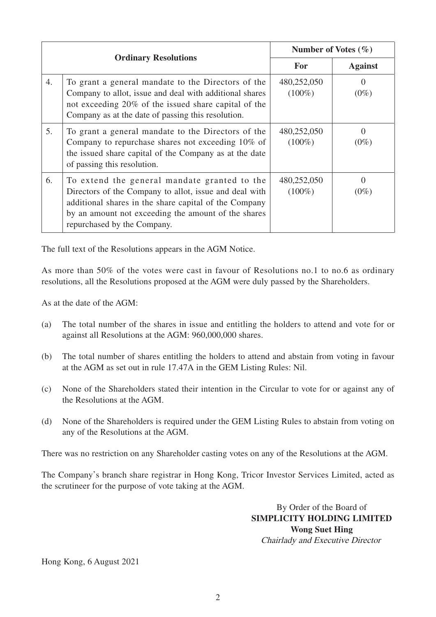| <b>Ordinary Resolutions</b> |                                                                                                                                                                                                                                                       | Number of Votes $(\% )$  |                             |
|-----------------------------|-------------------------------------------------------------------------------------------------------------------------------------------------------------------------------------------------------------------------------------------------------|--------------------------|-----------------------------|
|                             |                                                                                                                                                                                                                                                       | For                      | <b>Against</b>              |
| 4.                          | To grant a general mandate to the Directors of the<br>Company to allot, issue and deal with additional shares<br>not exceeding 20% of the issued share capital of the<br>Company as at the date of passing this resolution.                           | 480,252,050<br>$(100\%)$ | $\Omega$<br>$(0\%)$         |
| 5.                          | To grant a general mandate to the Directors of the<br>Company to repurchase shares not exceeding 10% of<br>the issued share capital of the Company as at the date<br>of passing this resolution.                                                      | 480,252,050<br>$(100\%)$ | $\left( \right)$<br>$(0\%)$ |
| 6.                          | To extend the general mandate granted to the<br>Directors of the Company to allot, issue and deal with<br>additional shares in the share capital of the Company<br>by an amount not exceeding the amount of the shares<br>repurchased by the Company. | 480,252,050<br>$(100\%)$ | $\Omega$<br>$(0\%)$         |

The full text of the Resolutions appears in the AGM Notice.

As more than 50% of the votes were cast in favour of Resolutions no.1 to no.6 as ordinary resolutions, all the Resolutions proposed at the AGM were duly passed by the Shareholders.

As at the date of the AGM:

- (a) The total number of the shares in issue and entitling the holders to attend and vote for or against all Resolutions at the AGM: 960,000,000 shares.
- (b) The total number of shares entitling the holders to attend and abstain from voting in favour at the AGM as set out in rule 17.47A in the GEM Listing Rules: Nil.
- (c) None of the Shareholders stated their intention in the Circular to vote for or against any of the Resolutions at the AGM.
- (d) None of the Shareholders is required under the GEM Listing Rules to abstain from voting on any of the Resolutions at the AGM.

There was no restriction on any Shareholder casting votes on any of the Resolutions at the AGM.

The Company's branch share registrar in Hong Kong, Tricor Investor Services Limited, acted as the scrutineer for the purpose of vote taking at the AGM.

> By Order of the Board of **SIMPLICITY HOLDING LIMITED Wong Suet Hing** Chairlady and Executive Director

Hong Kong, 6 August 2021